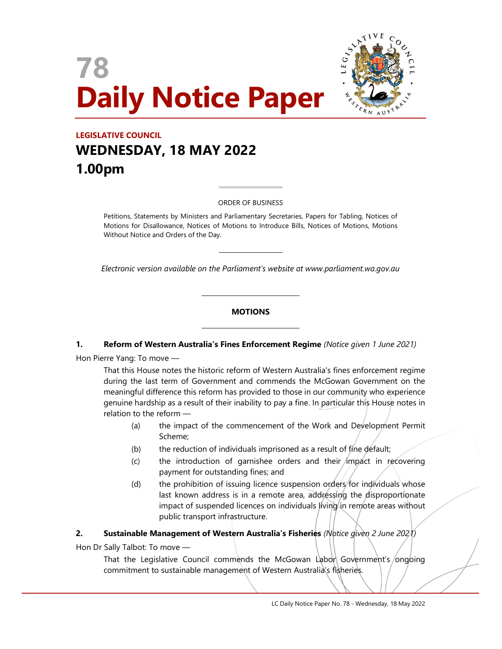



# LEGISLATIVE COUNCIL WEDNESDAY, 18 MAY 2022 1.00pm

#### ORDER OF BUSINESS

 $\overline{a}$ 

 $\overline{\phantom{a}}$ 

L

L

Petitions, Statements by Ministers and Parliamentary Secretaries, Papers for Tabling, Notices of Motions for Disallowance, Notices of Motions to Introduce Bills, Notices of Motions, Motions Without Notice and Orders of the Day.

Electronic version available on the Parliament's website at www.parliament.wa.gov.au

#### **MOTIONS**

#### 1. Reform of Western Australia's Fines Enforcement Regime (Notice given 1 June 2021)

Hon Pierre Yang: To move —

That this House notes the historic reform of Western Australia's fines enforcement regime during the last term of Government and commends the McGowan Government on the meaningful difference this reform has provided to those in our community who experience genuine hardship as a result of their inability to pay a fine. In particular this House notes in relation to the reform —

- (a) the impact of the commencement of the Work and Development Permit Scheme;
- (b) the reduction of individuals imprisoned as a result of fine default;
- $(c)$  the introduction of garnishee orders and their *impact* in recovering payment for outstanding fines; and
- (d) the prohibition of issuing licence suspension orders for individuals whose last known address is in a remote area, addressing the disproportionate impact of suspended licences on individuals living in remote areas without public transport infrastructure.

### 2. Sustainable Management of Western Australia's Fisheries (Notice given 2 June 2021)

Hon Dr Sally Talbot: To move —

That the Legislative Council commends the McGowan Labor Government's ongoing commitment to sustainable management of Western Australia's fisheries.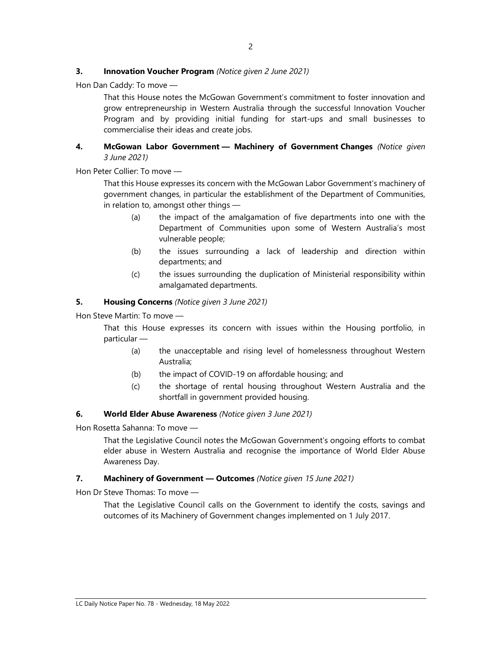### **3.** Innovation Voucher Program (Notice given 2 June 2021)

Hon Dan Caddy: To move —

That this House notes the McGowan Government's commitment to foster innovation and grow entrepreneurship in Western Australia through the successful Innovation Voucher Program and by providing initial funding for start-ups and small businesses to commercialise their ideas and create jobs.

# 4. McGowan Labor Government - Machinery of Government Changes (Notice given 3 June 2021)

Hon Peter Collier: To move —

That this House expresses its concern with the McGowan Labor Government's machinery of government changes, in particular the establishment of the Department of Communities, in relation to, amongst other things —

- (a) the impact of the amalgamation of five departments into one with the Department of Communities upon some of Western Australia's most vulnerable people;
- (b) the issues surrounding a lack of leadership and direction within departments; and
- (c) the issues surrounding the duplication of Ministerial responsibility within amalgamated departments.

# 5. Housing Concerns (Notice given 3 June 2021)

Hon Steve Martin: To move —

That this House expresses its concern with issues within the Housing portfolio, in particular —

- (a) the unacceptable and rising level of homelessness throughout Western Australia;
- (b) the impact of COVID-19 on affordable housing; and
- (c) the shortage of rental housing throughout Western Australia and the shortfall in government provided housing.

#### 6. World Elder Abuse Awareness (Notice given 3 June 2021)

Hon Rosetta Sahanna: To move —

That the Legislative Council notes the McGowan Government's ongoing efforts to combat elder abuse in Western Australia and recognise the importance of World Elder Abuse Awareness Day.

### 7. Machinery of Government - Outcomes (Notice given 15 June 2021)

Hon Dr Steve Thomas: To move —

That the Legislative Council calls on the Government to identify the costs, savings and outcomes of its Machinery of Government changes implemented on 1 July 2017.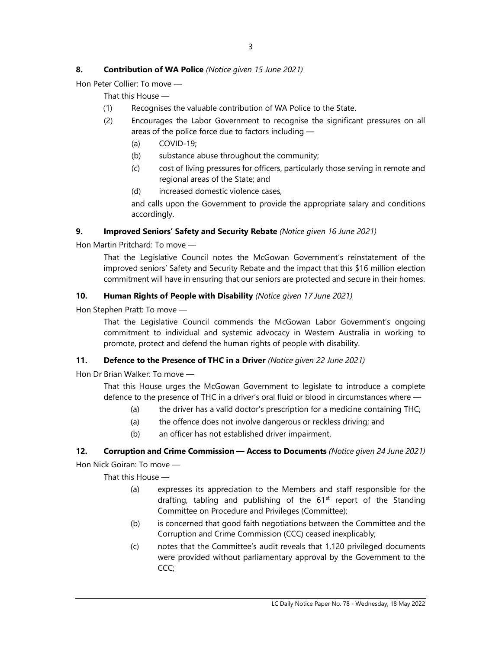# 8. Contribution of WA Police (Notice given 15 June 2021)

Hon Peter Collier: To move —

That this House —

- (1) Recognises the valuable contribution of WA Police to the State.
- (2) Encourages the Labor Government to recognise the significant pressures on all areas of the police force due to factors including —
	- (a) COVID-19;
	- (b) substance abuse throughout the community;
	- (c) cost of living pressures for officers, particularly those serving in remote and regional areas of the State; and
	- (d) increased domestic violence cases,

and calls upon the Government to provide the appropriate salary and conditions accordingly.

# 9. Improved Seniors' Safety and Security Rebate (Notice given 16 June 2021)

Hon Martin Pritchard: To move —

That the Legislative Council notes the McGowan Government's reinstatement of the improved seniors' Safety and Security Rebate and the impact that this \$16 million election commitment will have in ensuring that our seniors are protected and secure in their homes.

# 10. Human Rights of People with Disability (Notice given 17 June 2021)

Hon Stephen Pratt: To move —

That the Legislative Council commends the McGowan Labor Government's ongoing commitment to individual and systemic advocacy in Western Australia in working to promote, protect and defend the human rights of people with disability.

# 11. Defence to the Presence of THC in a Driver (Notice given 22 June 2021)

Hon Dr Brian Walker: To move —

That this House urges the McGowan Government to legislate to introduce a complete defence to the presence of THC in a driver's oral fluid or blood in circumstances where —

- (a) the driver has a valid doctor's prescription for a medicine containing THC;
- (a) the offence does not involve dangerous or reckless driving; and
- (b) an officer has not established driver impairment.

### 12. Corruption and Crime Commission - Access to Documents (Notice given 24 June 2021)

Hon Nick Goiran: To move —

- (a) expresses its appreciation to the Members and staff responsible for the drafting, tabling and publishing of the  $61<sup>st</sup>$  report of the Standing Committee on Procedure and Privileges (Committee);
- (b) is concerned that good faith negotiations between the Committee and the Corruption and Crime Commission (CCC) ceased inexplicably;
- (c) notes that the Committee's audit reveals that 1,120 privileged documents were provided without parliamentary approval by the Government to the CCC;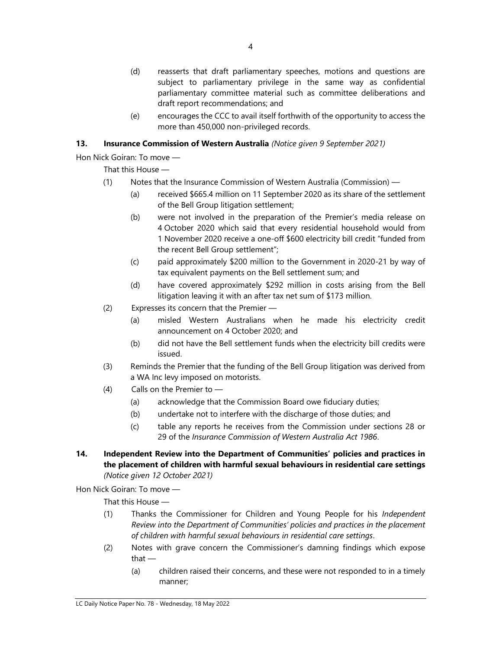- (d) reasserts that draft parliamentary speeches, motions and questions are subject to parliamentary privilege in the same way as confidential parliamentary committee material such as committee deliberations and draft report recommendations; and
- (e) encourages the CCC to avail itself forthwith of the opportunity to access the more than 450,000 non-privileged records.

# 13. Insurance Commission of Western Australia (Notice given 9 September 2021)

Hon Nick Goiran: To move —

That this House —

- (1) Notes that the Insurance Commission of Western Australia (Commission)
	- (a) received \$665.4 million on 11 September 2020 as its share of the settlement of the Bell Group litigation settlement;
	- (b) were not involved in the preparation of the Premier's media release on 4 October 2020 which said that every residential household would from 1 November 2020 receive a one-off \$600 electricity bill credit "funded from the recent Bell Group settlement";
	- (c) paid approximately \$200 million to the Government in 2020-21 by way of tax equivalent payments on the Bell settlement sum; and
	- (d) have covered approximately \$292 million in costs arising from the Bell litigation leaving it with an after tax net sum of \$173 million.
- (2) Expresses its concern that the Premier
	- (a) misled Western Australians when he made his electricity credit announcement on 4 October 2020; and
	- (b) did not have the Bell settlement funds when the electricity bill credits were issued.
- (3) Reminds the Premier that the funding of the Bell Group litigation was derived from a WA Inc levy imposed on motorists.
- (4) Calls on the Premier to
	- (a) acknowledge that the Commission Board owe fiduciary duties;
	- (b) undertake not to interfere with the discharge of those duties; and
	- (c) table any reports he receives from the Commission under sections 28 or 29 of the Insurance Commission of Western Australia Act 1986.
- 14. Independent Review into the Department of Communities' policies and practices in the placement of children with harmful sexual behaviours in residential care settings (Notice given 12 October 2021)

Hon Nick Goiran: To move —

- (1) Thanks the Commissioner for Children and Young People for his Independent Review into the Department of Communities' policies and practices in the placement of children with harmful sexual behaviours in residential care settings.
- (2) Notes with grave concern the Commissioner's damning findings which expose that —
	- (a) children raised their concerns, and these were not responded to in a timely manner;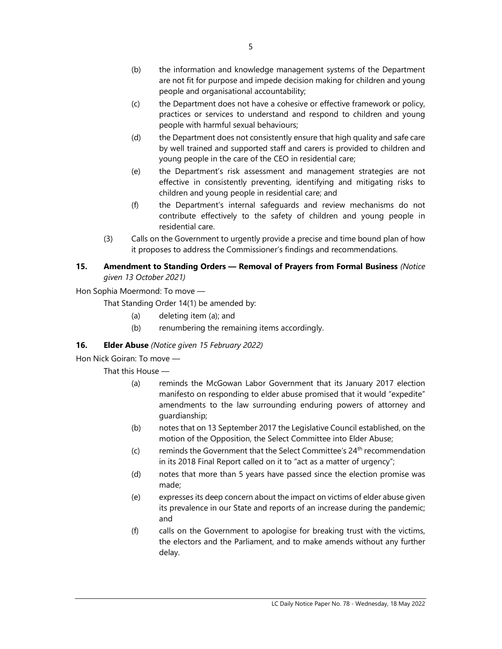- (c) the Department does not have a cohesive or effective framework or policy, practices or services to understand and respond to children and young people with harmful sexual behaviours;
- (d) the Department does not consistently ensure that high quality and safe care by well trained and supported staff and carers is provided to children and young people in the care of the CEO in residential care;
- (e) the Department's risk assessment and management strategies are not effective in consistently preventing, identifying and mitigating risks to children and young people in residential care; and
- (f) the Department's internal safeguards and review mechanisms do not contribute effectively to the safety of children and young people in residential care.
- (3) Calls on the Government to urgently provide a precise and time bound plan of how it proposes to address the Commissioner's findings and recommendations.

# 15. Amendment to Standing Orders - Removal of Prayers from Formal Business (Notice given 13 October 2021)

Hon Sophia Moermond: To move —

That Standing Order 14(1) be amended by:

- (a) deleting item (a); and
- (b) renumbering the remaining items accordingly.

# 16. **Elder Abuse** (Notice given 15 February 2022)

Hon Nick Goiran: To move —

- (a) reminds the McGowan Labor Government that its January 2017 election manifesto on responding to elder abuse promised that it would "expedite" amendments to the law surrounding enduring powers of attorney and guardianship;
- (b) notes that on 13 September 2017 the Legislative Council established, on the motion of the Opposition, the Select Committee into Elder Abuse;
- (c) reminds the Government that the Select Committee's  $24<sup>th</sup>$  recommendation in its 2018 Final Report called on it to "act as a matter of urgency";
- (d) notes that more than 5 years have passed since the election promise was made;
- (e) expresses its deep concern about the impact on victims of elder abuse given its prevalence in our State and reports of an increase during the pandemic; and
- (f) calls on the Government to apologise for breaking trust with the victims, the electors and the Parliament, and to make amends without any further delay.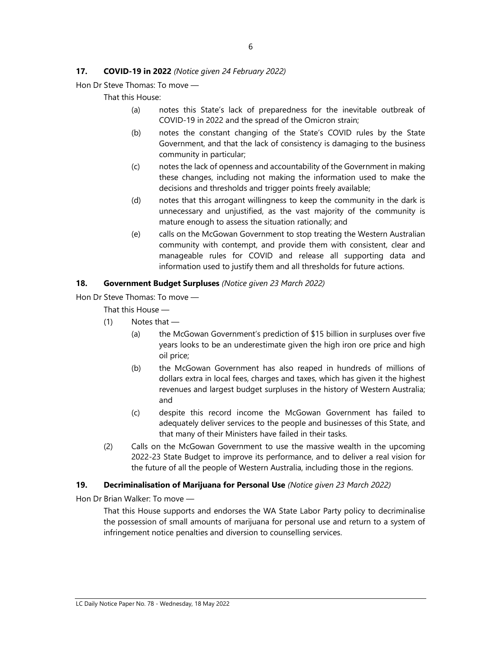### 17. **COVID-19 in 2022** (Notice given 24 February 2022)

Hon Dr Steve Thomas: To move —

That this House:

- (a) notes this State's lack of preparedness for the inevitable outbreak of COVID-19 in 2022 and the spread of the Omicron strain;
- (b) notes the constant changing of the State's COVID rules by the State Government, and that the lack of consistency is damaging to the business community in particular;
- (c) notes the lack of openness and accountability of the Government in making these changes, including not making the information used to make the decisions and thresholds and trigger points freely available;
- (d) notes that this arrogant willingness to keep the community in the dark is unnecessary and unjustified, as the vast majority of the community is mature enough to assess the situation rationally; and
- (e) calls on the McGowan Government to stop treating the Western Australian community with contempt, and provide them with consistent, clear and manageable rules for COVID and release all supporting data and information used to justify them and all thresholds for future actions.

#### 18. Government Budget Surpluses (Notice given 23 March 2022)

Hon Dr Steve Thomas: To move —

That this House —

- (1) Notes that
	- (a) the McGowan Government's prediction of \$15 billion in surpluses over five years looks to be an underestimate given the high iron ore price and high oil price;
	- (b) the McGowan Government has also reaped in hundreds of millions of dollars extra in local fees, charges and taxes, which has given it the highest revenues and largest budget surpluses in the history of Western Australia; and
	- (c) despite this record income the McGowan Government has failed to adequately deliver services to the people and businesses of this State, and that many of their Ministers have failed in their tasks.
- (2) Calls on the McGowan Government to use the massive wealth in the upcoming 2022-23 State Budget to improve its performance, and to deliver a real vision for the future of all the people of Western Australia, including those in the regions.

#### 19. Decriminalisation of Marijuana for Personal Use (Notice given 23 March 2022)

Hon Dr Brian Walker: To move —

That this House supports and endorses the WA State Labor Party policy to decriminalise the possession of small amounts of marijuana for personal use and return to a system of infringement notice penalties and diversion to counselling services.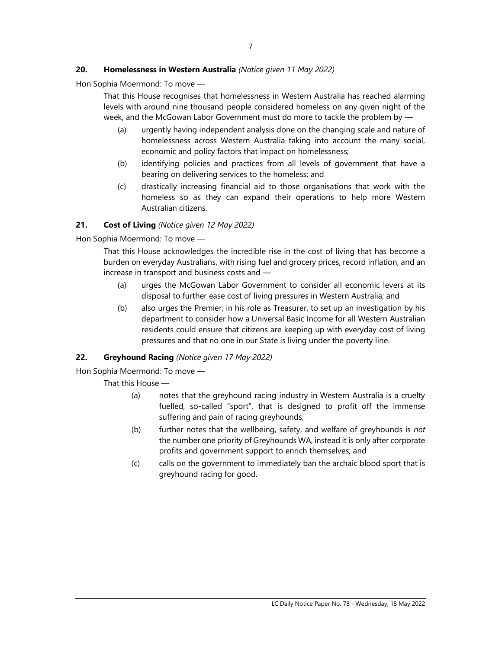# 20. Homelessness in Western Australia (Notice given 11 May 2022)

Hon Sophia Moermond: To move —

That this House recognises that homelessness in Western Australia has reached alarming levels with around nine thousand people considered homeless on any given night of the week, and the McGowan Labor Government must do more to tackle the problem by —

- (a) urgently having independent analysis done on the changing scale and nature of homelessness across Western Australia taking into account the many social, economic and policy factors that impact on homelessness;
- (b) identifying policies and practices from all levels of government that have a bearing on delivering services to the homeless; and
- (c) drastically increasing financial aid to those organisations that work with the homeless so as they can expand their operations to help more Western Australian citizens.

# 21. Cost of Living (Notice given 12 May 2022)

Hon Sophia Moermond: To move —

That this House acknowledges the incredible rise in the cost of living that has become a burden on everyday Australians, with rising fuel and grocery prices, record inflation, and an increase in transport and business costs and —

- (a) urges the McGowan Labor Government to consider all economic levers at its disposal to further ease cost of living pressures in Western Australia; and
- (b) also urges the Premier, in his role as Treasurer, to set up an investigation by his department to consider how a Universal Basic Income for all Western Australian residents could ensure that citizens are keeping up with everyday cost of living pressures and that no one in our State is living under the poverty line.

### 22. Greyhound Racing (Notice given 17 May 2022)

Hon Sophia Moermond: To move —

- (a) notes that the greyhound racing industry in Western Australia is a cruelty fuelled, so-called "sport", that is designed to profit off the immense suffering and pain of racing greyhounds;
- (b) further notes that the wellbeing, safety, and welfare of greyhounds is *not* the number one priority of Greyhounds WA, instead it is only after corporate profits and government support to enrich themselves; and
- (c) calls on the government to immediately ban the archaic blood sport that is greyhound racing for good.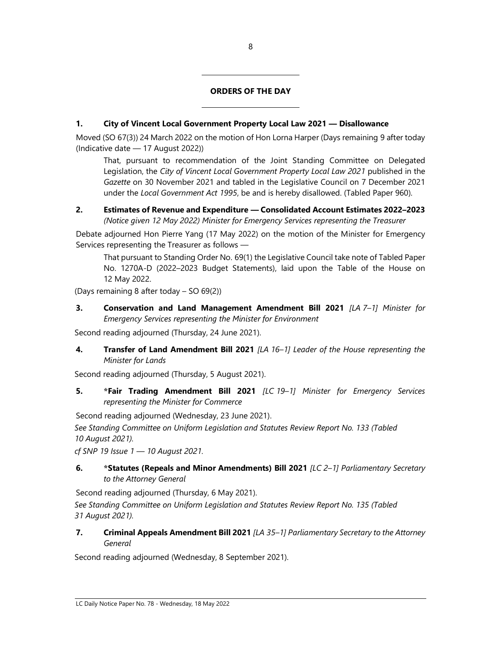### ORDERS OF THE DAY

# 1. City of Vincent Local Government Property Local Law 2021 — Disallowance

L

L

Moved (SO 67(3)) 24 March 2022 on the motion of Hon Lorna Harper (Days remaining 9 after today (Indicative date — 17 August 2022))

That, pursuant to recommendation of the Joint Standing Committee on Delegated Legislation, the City of Vincent Local Government Property Local Law 2021 published in the Gazette on 30 November 2021 and tabled in the Legislative Council on 7 December 2021 under the Local Government Act 1995, be and is hereby disallowed. (Tabled Paper 960).

# 2. Estimates of Revenue and Expenditure — Consolidated Account Estimates 2022–2023 (Notice given 12 May 2022) Minister for Emergency Services representing the Treasurer

Debate adjourned Hon Pierre Yang (17 May 2022) on the motion of the Minister for Emergency Services representing the Treasurer as follows —

That pursuant to Standing Order No. 69(1) the Legislative Council take note of Tabled Paper No. 1270A-D (2022–2023 Budget Statements), laid upon the Table of the House on 12 May 2022.

(Days remaining 8 after today – SO 69(2))

3. Conservation and Land Management Amendment Bill 2021 [LA 7-1] Minister for Emergency Services representing the Minister for Environment

Second reading adjourned (Thursday, 24 June 2021).

4. Transfer of Land Amendment Bill 2021 [LA 16-1] Leader of the House representing the Minister for Lands

Second reading adjourned (Thursday, 5 August 2021).

5. \*Fair Trading Amendment Bill 2021 [LC 19-1] Minister for Emergency Services representing the Minister for Commerce

Second reading adjourned (Wednesday, 23 June 2021).

See Standing Committee on Uniform Legislation and Statutes Review Report No. 133 (Tabled 10 August 2021).

cf SNP 19 Issue 1 — 10 August 2021.

6. \* Statutes (Repeals and Minor Amendments) Bill 2021 [LC 2-1] Parliamentary Secretary to the Attorney General

Second reading adjourned (Thursday, 6 May 2021).

See Standing Committee on Uniform Legislation and Statutes Review Report No. 135 (Tabled 31 August 2021).

7. Criminal Appeals Amendment Bill 2021 [LA 35-1] Parliamentary Secretary to the Attorney General

Second reading adjourned (Wednesday, 8 September 2021).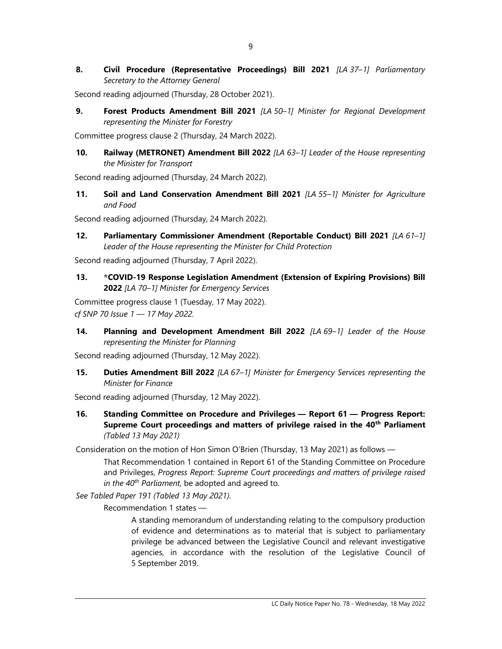8. Civil Procedure (Representative Proceedings) Bill 2021 [LA 37-1] Parliamentary Secretary to the Attorney General

Second reading adjourned (Thursday, 28 October 2021).

9. Forest Products Amendment Bill 2021 [LA 50-1] Minister for Regional Development representing the Minister for Forestry

Committee progress clause 2 (Thursday, 24 March 2022).

10. Railway (METRONET) Amendment Bill 2022 [LA 63-1] Leader of the House representing the Minister for Transport

Second reading adjourned (Thursday, 24 March 2022).

11. Soil and Land Conservation Amendment Bill 2021 [LA 55-1] Minister for Agriculture and Food

Second reading adjourned (Thursday, 24 March 2022).

12. Parliamentary Commissioner Amendment (Reportable Conduct) Bill 2021 [LA 61-1] Leader of the House representing the Minister for Child Protection

Second reading adjourned (Thursday, 7 April 2022).

13. \*COVID-19 Response Legislation Amendment (Extension of Expiring Provisions) Bill 2022 [LA 70–1] Minister for Emergency Services

Committee progress clause 1 (Tuesday, 17 May 2022). cf SNP 70 Issue 1 — 17 May 2022.

14. Planning and Development Amendment Bill 2022 [LA 69-1] Leader of the House representing the Minister for Planning

Second reading adjourned (Thursday, 12 May 2022).

15. Duties Amendment Bill 2022 [LA 67-1] Minister for Emergency Services representing the Minister for Finance

Second reading adjourned (Thursday, 12 May 2022).

16. Standing Committee on Procedure and Privileges — Report 61 — Progress Report: Supreme Court proceedings and matters of privilege raised in the 40<sup>th</sup> Parliament (Tabled 13 May 2021)

Consideration on the motion of Hon Simon O'Brien (Thursday, 13 May 2021) as follows —

That Recommendation 1 contained in Report 61 of the Standing Committee on Procedure and Privileges, Progress Report: Supreme Court proceedings and matters of privilege raised in the  $40<sup>th</sup>$  Parliament, be adopted and agreed to.

See Tabled Paper 191 (Tabled 13 May 2021).

Recommendation 1 states —

A standing memorandum of understanding relating to the compulsory production of evidence and determinations as to material that is subject to parliamentary privilege be advanced between the Legislative Council and relevant investigative agencies, in accordance with the resolution of the Legislative Council of 5 September 2019.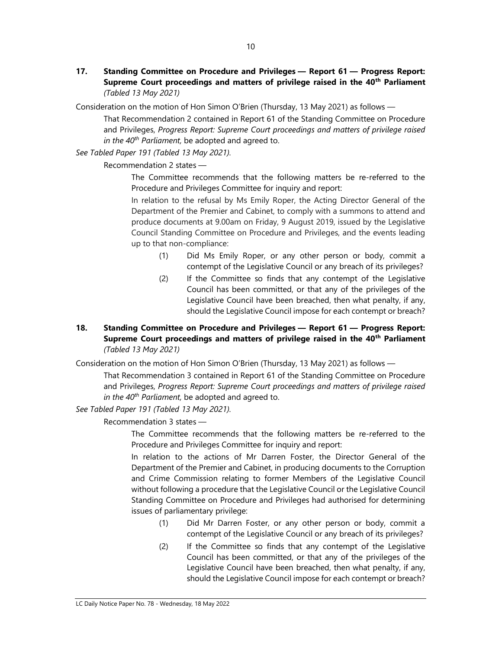17. Standing Committee on Procedure and Privileges — Report 61 — Progress Report: Supreme Court proceedings and matters of privilege raised in the 40<sup>th</sup> Parliament (Tabled 13 May 2021)

Consideration on the motion of Hon Simon O'Brien (Thursday, 13 May 2021) as follows —

That Recommendation 2 contained in Report 61 of the Standing Committee on Procedure and Privileges, Progress Report: Supreme Court proceedings and matters of privilege raised in the  $40^{th}$  Parliament, be adopted and agreed to.

See Tabled Paper 191 (Tabled 13 May 2021).

Recommendation 2 states —

The Committee recommends that the following matters be re-referred to the Procedure and Privileges Committee for inquiry and report:

In relation to the refusal by Ms Emily Roper, the Acting Director General of the Department of the Premier and Cabinet, to comply with a summons to attend and produce documents at 9.00am on Friday, 9 August 2019, issued by the Legislative Council Standing Committee on Procedure and Privileges, and the events leading up to that non-compliance:

- (1) Did Ms Emily Roper, or any other person or body, commit a contempt of the Legislative Council or any breach of its privileges?
- (2) If the Committee so finds that any contempt of the Legislative Council has been committed, or that any of the privileges of the Legislative Council have been breached, then what penalty, if any, should the Legislative Council impose for each contempt or breach?

# 18. Standing Committee on Procedure and Privileges — Report 61 — Progress Report: Supreme Court proceedings and matters of privilege raised in the 40<sup>th</sup> Parliament (Tabled 13 May 2021)

Consideration on the motion of Hon Simon O'Brien (Thursday, 13 May 2021) as follows —

That Recommendation 3 contained in Report 61 of the Standing Committee on Procedure and Privileges, Progress Report: Supreme Court proceedings and matters of privilege raised in the  $40^{th}$  Parliament, be adopted and agreed to.

See Tabled Paper 191 (Tabled 13 May 2021).

Recommendation 3 states —

The Committee recommends that the following matters be re-referred to the Procedure and Privileges Committee for inquiry and report:

In relation to the actions of Mr Darren Foster, the Director General of the Department of the Premier and Cabinet, in producing documents to the Corruption and Crime Commission relating to former Members of the Legislative Council without following a procedure that the Legislative Council or the Legislative Council Standing Committee on Procedure and Privileges had authorised for determining issues of parliamentary privilege:

- (1) Did Mr Darren Foster, or any other person or body, commit a contempt of the Legislative Council or any breach of its privileges?
- (2) If the Committee so finds that any contempt of the Legislative Council has been committed, or that any of the privileges of the Legislative Council have been breached, then what penalty, if any, should the Legislative Council impose for each contempt or breach?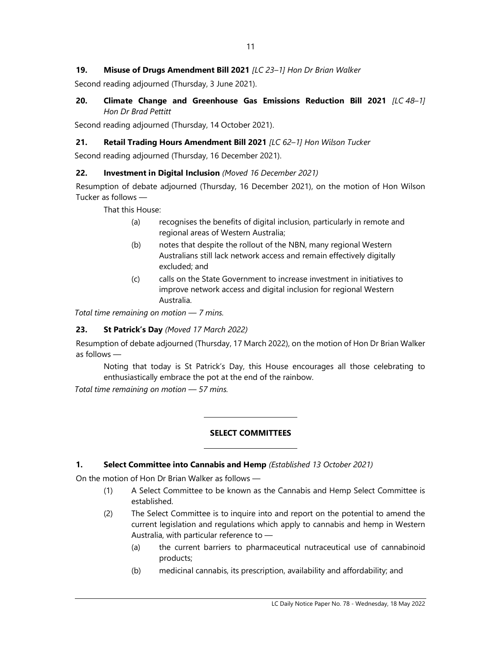# 19. Misuse of Drugs Amendment Bill 2021 [LC 23-1] Hon Dr Brian Walker

Second reading adjourned (Thursday, 3 June 2021).

# 20. Climate Change and Greenhouse Gas Emissions Reduction Bill 2021  $[LC 48-1]$ Hon Dr Brad Pettitt

Second reading adjourned (Thursday, 14 October 2021).

# 21. Retail Trading Hours Amendment Bill 2021 [LC 62-1] Hon Wilson Tucker

Second reading adjourned (Thursday, 16 December 2021).

# 22. Investment in Digital Inclusion (Moved 16 December 2021)

Resumption of debate adjourned (Thursday, 16 December 2021), on the motion of Hon Wilson Tucker as follows —

That this House:

- (a) recognises the benefits of digital inclusion, particularly in remote and regional areas of Western Australia;
- (b) notes that despite the rollout of the NBN, many regional Western Australians still lack network access and remain effectively digitally excluded; and
- (c) calls on the State Government to increase investment in initiatives to improve network access and digital inclusion for regional Western Australia.

Total time remaining on motion — 7 mins.

# 23. St Patrick's Day (Moved 17 March 2022)

Resumption of debate adjourned (Thursday, 17 March 2022), on the motion of Hon Dr Brian Walker as follows —

Noting that today is St Patrick's Day, this House encourages all those celebrating to enthusiastically embrace the pot at the end of the rainbow.

Total time remaining on motion — 57 mins.

### SELECT COMMITTEES

# 1. Select Committee into Cannabis and Hemp (Established 13 October 2021)

 $\overline{a}$ 

 $\overline{a}$ 

On the motion of Hon Dr Brian Walker as follows —

- (1) A Select Committee to be known as the Cannabis and Hemp Select Committee is established.
- (2) The Select Committee is to inquire into and report on the potential to amend the current legislation and regulations which apply to cannabis and hemp in Western Australia, with particular reference to —
	- (a) the current barriers to pharmaceutical nutraceutical use of cannabinoid products;
	- (b) medicinal cannabis, its prescription, availability and affordability; and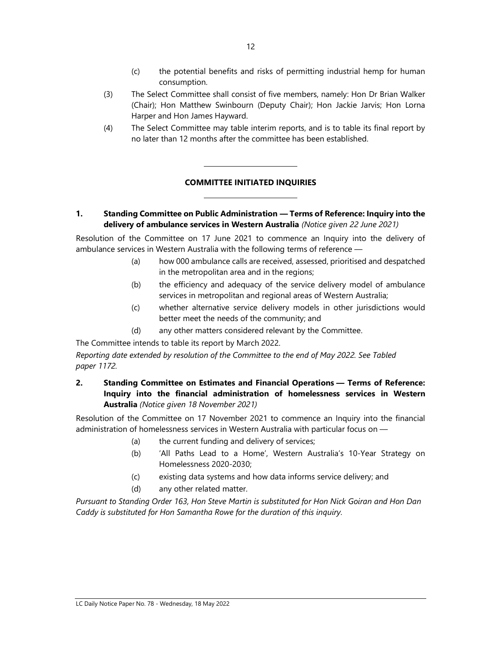- (c) the potential benefits and risks of permitting industrial hemp for human consumption.
- (3) The Select Committee shall consist of five members, namely: Hon Dr Brian Walker (Chair); Hon Matthew Swinbourn (Deputy Chair); Hon Jackie Jarvis; Hon Lorna Harper and Hon James Hayward.
- (4) The Select Committee may table interim reports, and is to table its final report by no later than 12 months after the committee has been established.

# COMMITTEE INITIATED INQUIRIES

l

 $\overline{\phantom{a}}$ 

1. Standing Committee on Public Administration — Terms of Reference: Inquiry into the delivery of ambulance services in Western Australia (Notice given 22 June 2021)

Resolution of the Committee on 17 June 2021 to commence an Inquiry into the delivery of ambulance services in Western Australia with the following terms of reference —

- (a) how 000 ambulance calls are received, assessed, prioritised and despatched in the metropolitan area and in the regions;
- (b) the efficiency and adequacy of the service delivery model of ambulance services in metropolitan and regional areas of Western Australia;
- (c) whether alternative service delivery models in other jurisdictions would better meet the needs of the community; and
- (d) any other matters considered relevant by the Committee.

The Committee intends to table its report by March 2022.

Reporting date extended by resolution of the Committee to the end of May 2022. See Tabled paper 1172.

2. Standing Committee on Estimates and Financial Operations — Terms of Reference: Inquiry into the financial administration of homelessness services in Western Australia (Notice given 18 November 2021)

Resolution of the Committee on 17 November 2021 to commence an Inquiry into the financial administration of homelessness services in Western Australia with particular focus on —

- (a) the current funding and delivery of services;
- (b) 'All Paths Lead to a Home', Western Australia's 10-Year Strategy on Homelessness 2020-2030;
- (c) existing data systems and how data informs service delivery; and
- (d) any other related matter.

Pursuant to Standing Order 163, Hon Steve Martin is substituted for Hon Nick Goiran and Hon Dan Caddy is substituted for Hon Samantha Rowe for the duration of this inquiry.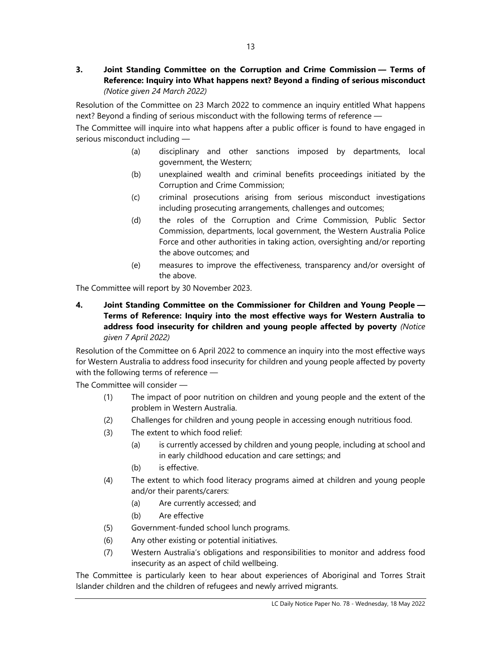3. Joint Standing Committee on the Corruption and Crime Commission — Terms of Reference: Inquiry into What happens next? Beyond a finding of serious misconduct (Notice given 24 March 2022)

Resolution of the Committee on 23 March 2022 to commence an inquiry entitled What happens next? Beyond a finding of serious misconduct with the following terms of reference —

The Committee will inquire into what happens after a public officer is found to have engaged in serious misconduct including —

- (a) disciplinary and other sanctions imposed by departments, local government, the Western;
- (b) unexplained wealth and criminal benefits proceedings initiated by the Corruption and Crime Commission;
- (c) criminal prosecutions arising from serious misconduct investigations including prosecuting arrangements, challenges and outcomes;
- (d) the roles of the Corruption and Crime Commission, Public Sector Commission, departments, local government, the Western Australia Police Force and other authorities in taking action, oversighting and/or reporting the above outcomes; and
- (e) measures to improve the effectiveness, transparency and/or oversight of the above.

The Committee will report by 30 November 2023.

4. Joint Standing Committee on the Commissioner for Children and Young People — Terms of Reference: Inquiry into the most effective ways for Western Australia to address food insecurity for children and young people affected by poverty (Notice given 7 April 2022)

Resolution of the Committee on 6 April 2022 to commence an inquiry into the most effective ways for Western Australia to address food insecurity for children and young people affected by poverty with the following terms of reference —

The Committee will consider —

- (1) The impact of poor nutrition on children and young people and the extent of the problem in Western Australia.
- (2) Challenges for children and young people in accessing enough nutritious food.
- (3) The extent to which food relief:
	- (a) is currently accessed by children and young people, including at school and in early childhood education and care settings; and
	- (b) is effective.
- (4) The extent to which food literacy programs aimed at children and young people and/or their parents/carers:
	- (a) Are currently accessed; and
	- (b) Are effective
- (5) Government-funded school lunch programs.
- (6) Any other existing or potential initiatives.
- (7) Western Australia's obligations and responsibilities to monitor and address food insecurity as an aspect of child wellbeing.

The Committee is particularly keen to hear about experiences of Aboriginal and Torres Strait Islander children and the children of refugees and newly arrived migrants.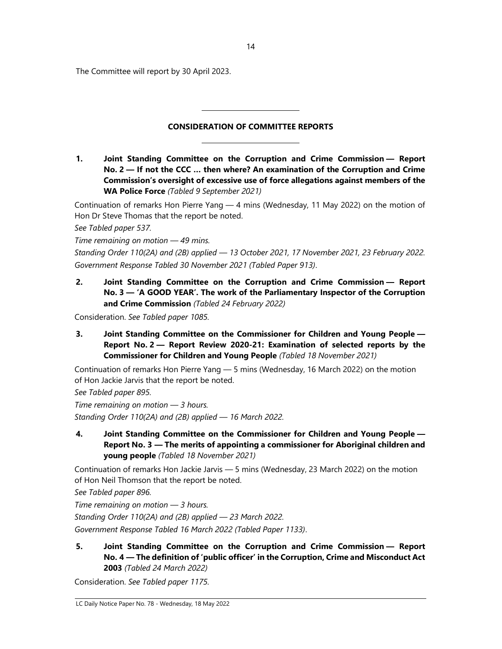The Committee will report by 30 April 2023.

# CONSIDERATION OF COMMITTEE REPORTS

L

 $\overline{\phantom{0}}$ 

1. Joint Standing Committee on the Corruption and Crime Commission — Report No. 2 — If not the CCC … then where? An examination of the Corruption and Crime Commission's oversight of excessive use of force allegations against members of the WA Police Force (Tabled 9 September 2021)

Continuation of remarks Hon Pierre Yang — 4 mins (Wednesday, 11 May 2022) on the motion of Hon Dr Steve Thomas that the report be noted.

See Tabled paper 537.

Time remaining on motion — 49 mins.

Standing Order 110(2A) and (2B) applied — 13 October 2021, 17 November 2021, 23 February 2022. Government Response Tabled 30 November 2021 (Tabled Paper 913).

2. Joint Standing Committee on the Corruption and Crime Commission — Report No. 3 — 'A GOOD YEAR'. The work of the Parliamentary Inspector of the Corruption and Crime Commission (Tabled 24 February 2022)

Consideration. See Tabled paper 1085.

3. Joint Standing Committee on the Commissioner for Children and Young People — Report No. 2 — Report Review 2020-21: Examination of selected reports by the Commissioner for Children and Young People (Tabled 18 November 2021)

Continuation of remarks Hon Pierre Yang — 5 mins (Wednesday, 16 March 2022) on the motion of Hon Jackie Jarvis that the report be noted.

See Tabled paper 895.

Time remaining on motion  $-$  3 hours. Standing Order 110(2A) and (2B) applied — 16 March 2022.

4. Joint Standing Committee on the Commissioner for Children and Young People — Report No. 3 — The merits of appointing a commissioner for Aboriginal children and young people (Tabled 18 November 2021)

Continuation of remarks Hon Jackie Jarvis — 5 mins (Wednesday, 23 March 2022) on the motion of Hon Neil Thomson that the report be noted.

See Tabled paper 896.

Time remaining on motion  $-$  3 hours. Standing Order 110(2A) and (2B) applied — 23 March 2022. Government Response Tabled 16 March 2022 (Tabled Paper 1133).

5. Joint Standing Committee on the Corruption and Crime Commission — Report No. 4 — The definition of 'public officer' in the Corruption, Crime and Misconduct Act 2003 (Tabled 24 March 2022)

Consideration. See Tabled paper 1175.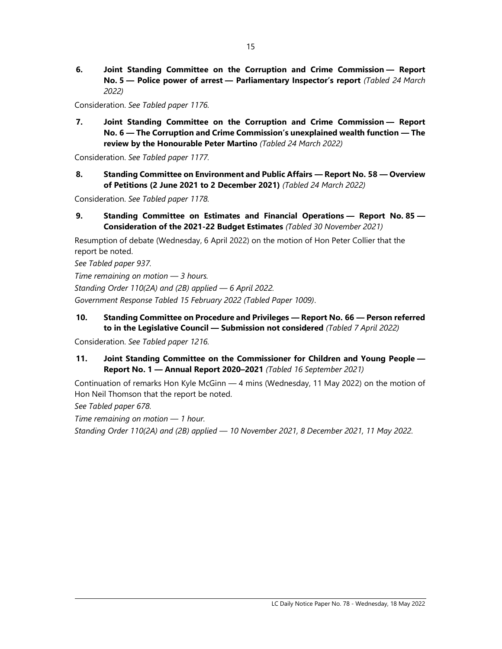6. Joint Standing Committee on the Corruption and Crime Commission — Report No. 5 - Police power of arrest - Parliamentary Inspector's report (Tabled 24 March 2022)

Consideration. See Tabled paper 1176.

7. Joint Standing Committee on the Corruption and Crime Commission — Report No. 6 — The Corruption and Crime Commission's unexplained wealth function — The review by the Honourable Peter Martino (Tabled 24 March 2022)

Consideration. See Tabled paper 1177.

8. Standing Committee on Environment and Public Affairs — Report No. 58 — Overview of Petitions (2 June 2021 to 2 December 2021) (Tabled 24 March 2022)

Consideration. See Tabled paper 1178.

9. Standing Committee on Estimates and Financial Operations — Report No. 85 — Consideration of the 2021-22 Budget Estimates (Tabled 30 November 2021)

Resumption of debate (Wednesday, 6 April 2022) on the motion of Hon Peter Collier that the report be noted.

See Tabled paper 937.

Time remaining on motion  $-$  3 hours.

Standing Order 110(2A) and (2B) applied — 6 April 2022.

Government Response Tabled 15 February 2022 (Tabled Paper 1009).

10. Standing Committee on Procedure and Privileges — Report No. 66 — Person referred to in the Legislative Council - Submission not considered (Tabled 7 April 2022)

Consideration. See Tabled paper 1216.

11. Joint Standing Committee on the Commissioner for Children and Young People — Report No. 1 — Annual Report 2020–2021 (Tabled 16 September 2021)

Continuation of remarks Hon Kyle McGinn — 4 mins (Wednesday, 11 May 2022) on the motion of Hon Neil Thomson that the report be noted.

See Tabled paper 678.

Time remaining on motion — 1 hour.

Standing Order 110(2A) and (2B) applied — 10 November 2021, 8 December 2021, 11 May 2022.